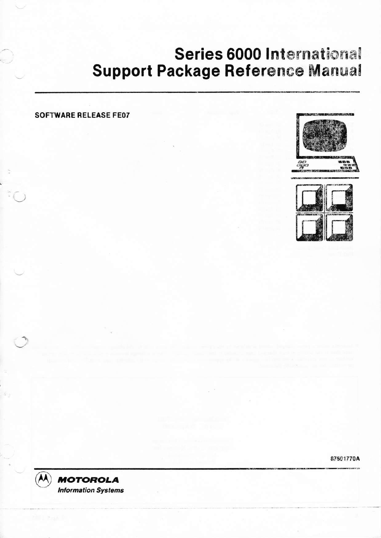# Series 6000 International **Support Package Reference Manual**

### **SOFTWARE RELEASE FE07**





87601770A

**MOTOROLA Information Systems** 

II Gerald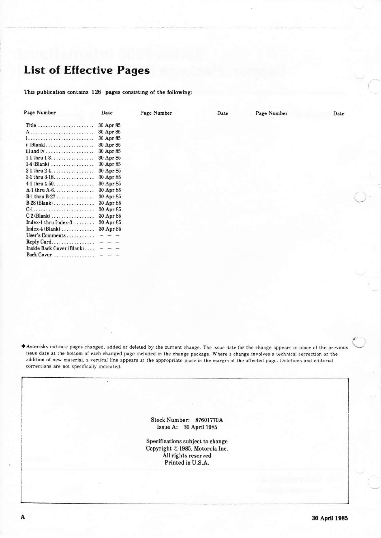## **List of Effective Pages**

This publication contains 126 pages consisting of the following:

| Page Number                              | Date      | Page Number | Date | Page Number | Date |
|------------------------------------------|-----------|-------------|------|-------------|------|
|                                          | 30 Apr 85 |             |      |             |      |
|                                          | 30 Apr 85 |             |      |             |      |
|                                          | 30 Apr 85 |             |      |             |      |
| $ii$ (Blank)                             | 30 Apr 85 |             |      |             |      |
|                                          | 30 Apr 85 |             |      |             |      |
| 1-1 thru $1-3$                           | 30 Apr 85 |             |      |             |      |
| $1-4$ (Blank)                            | 30 Apr 85 |             |      |             |      |
| 2-1 thru $2-4$                           | 30 Apr 85 |             |      |             |      |
| 3-1 thru 3-18 30 Apr 85                  |           |             |      |             |      |
| 4-1 thru $4-50$                          | 30 Apr 85 |             |      |             |      |
| $A-1$ thru $A-6$                         | 30 Apr 85 |             |      |             |      |
| B-1 thru B-27                            | 30 Apr 85 |             |      |             |      |
|                                          |           |             |      |             |      |
|                                          |           |             |      |             |      |
|                                          |           |             |      |             |      |
| Index-1 thru Index-3 $\dots$ 30 Apr 85   |           |             |      |             |      |
| Index-4 (Blank)  30 Apr 85               |           |             |      |             |      |
| User's Comments $-$                      |           |             |      |             |      |
| Reply Card $- - -$                       |           |             |      |             |      |
| Inside Back Cover $(Blank) \ldots$ $  -$ |           |             |      |             |      |
| Back Cover                               |           |             |      |             |      |

\* Asterisks indicate pages changed. added or deleted by the current change. The issue date for the change appears in place of the previous issue date at the bottom of each changed page included in the change package. Where a change involves a technical correction or the addition of new material, a vertical line appears at the appropriate place in the margin of the affected page. Deletions and editorial corrections are not specifically indicated.

> Stock Number: 87601770A Issue A: 30 April 1985

Specifications subject to change Copyright ©1985, Motorola Inc. All rights reserved Printed in U.S.A.